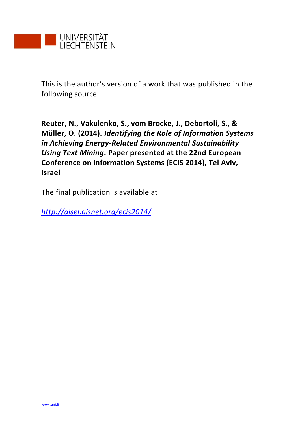

This is the author's version of a work that was published in the following source:

**Reuter, N., Vakulenko, S., vom Brocke, J., Debortoli, S., & Müller, O. (2014).** *Identifying the Role of Information Systems in Achieving Energy-Related Environmental Sustainability Using Text Mining***. Paper presented at the 22nd European Conference on Information Systems (ECIS 2014), Tel Aviv, Israel**

The final publication is available at

*<http://aisel.aisnet.org/ecis2014/>*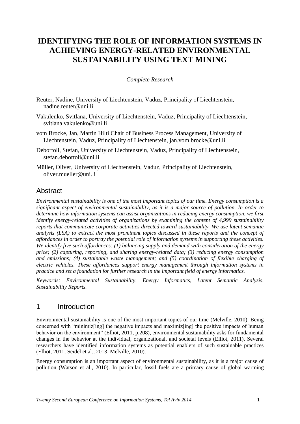# **IDENTIFYING THE ROLE OF INFORMATION SYSTEMS IN ACHIEVING ENERGY-RELATED ENVIRONMENTAL SUSTAINABILITY USING TEXT MINING**

#### *Complete Research*

- Reuter, Nadine, University of Liechtenstein, Vaduz, Principality of Liechtenstein, nadine.reuter@uni.li
- Vakulenko, Svitlana, University of Liechtenstein, Vaduz, Principality of Liechtenstein, svitlana.vakulenko@uni.li
- vom Brocke, Jan, Martin Hilti Chair of Business Process Management, University of Liechtenstein, Vaduz, Principality of Liechtenstein, jan.vom.brocke@uni.li
- Debortoli, Stefan, University of Liechtenstein, Vaduz, Principality of Liechtenstein, stefan.debortoli@uni.li

Müller, Oliver, University of Liechtenstein, Vaduz, Principality of Liechtenstein, oliver.mueller@uni.li

### **Abstract**

*Environmental sustainability is one of the most important topics of our time. Energy consumption is a significant aspect of environmental sustainability, as it is a major source of pollution. In order to determine how information systems can assist organizations in reducing energy consumption, we first identify energy-related activities of organizations by examining the content of 4,999 sustainability reports that communicate corporate activities directed toward sustainability. We use latent semantic analysis (LSA) to extract the most prominent topics discussed in these reports and the concept of affordances in order to portray the potential role of information systems in supporting these activities. We identify five such affordances: (1) balancing supply and demand with consideration of the energy price; (2) capturing, reporting, and sharing energy-related data; (3) reducing energy consumption and emissions; (4) sustainable waste management; and (5) coordination of flexible charging of electric vehicles. These affordances support energy management through information systems in practice and set a foundation for further research in the important field of energy informatics.*

*Keywords: Environmental Sustainability, Energy Informatics, Latent Semantic Analysis, Sustainability Reports.*

## 1 Introduction

Environmental sustainability is one of the most important topics of our time (Melville, 2010). Being concerned with "minimiz[ing] the negative impacts and maximiz[ing] the positive impacts of human behavior on the environment" (Elliot, 2011, p.208), environmental sustainability asks for fundamental changes in the behavior at the individual, organizational, and societal levels (Elliot, 2011). Several researchers have identified information systems as potential enablers of such sustainable practices (Elliot, 2011; Seidel et al., 2013; Melville, 2010).

Energy consumption is an important aspect of environmental sustainability, as it is a major cause of pollution (Watson et al., 2010). In particular, fossil fuels are a primary cause of global warming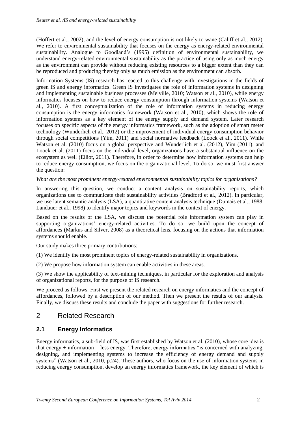(Hoffert et al., 2002), and the level of energy consumption is not likely to wane (Califf et al., 2012). We refer to environmental sustainability that focuses on the energy as energy-related environmental sustainability. Analogue to Goodland's (1995) definition of environmental sustainability, we understand energy-related environmental sustainability as the practice of using only as much energy as the environment can provide without reducing existing resources to a bigger extent than they can be reproduced and producing thereby only as much emission as the environment can absorb.

Information Systems (IS) research has reacted to this challenge with investigations in the fields of green IS and energy informatics. Green IS investigates the role of information systems in designing and implementing sustainable business processes (Melville, 2010; Watson et al., 2010), while energy informatics focuses on how to reduce energy consumption through information systems (Watson et al., 2010). A first conceptualization of the role of information systems in reducing energy consumption is the energy informatics framework (Watson et al., 2010), which shows the role of information systems as a key element of the energy supply and demand system. Later research focuses on specific aspects of the energy informatics framework, such as the adoption of smart meter technology (Wunderlich et al., 2012) or the improvement of individual energy consumption behavior through social competitions (Yim, 2011) and social normative feedback (Loock et al., 2011). While Watson et al. (2010) focus on a global perspective and Wunderlich et al. (2012), Yim (2011), and Loock et al. (2011) focus on the individual level, organizations have a substantial influence on the ecosystem as well (Elliot, 2011). Therefore, in order to determine how information systems can help to reduce energy consumption, we focus on the organizational level. To do so, we must first answer the question:

#### *What are the most prominent energy-related environmental sustainability topics for organizations?*

In answering this question, we conduct a content analysis on sustainability reports, which organizations use to communicate their sustainability activities (Bradford et al., 2012). In particular, we use latent semantic analysis (LSA), a quantitative content analysis technique (Dumais et al., 1988; Landauer et al., 1998) to identify major topics and keywords in the context of energy.

Based on the results of the LSA, we discuss the potential role information system can play in supporting organizations' energy-related activities. To do so, we build upon the concept of affordances (Markus and Silver, 2008) as a theoretical lens, focusing on the actions that information systems should enable.

Our study makes three primary contributions:

(1) We identify the most prominent topics of energy-related sustainability in organizations.

(2) We propose how information system can enable activities in these areas.

(3) We show the applicability of text-mining techniques, in particular for the exploration and analysis of organizational reports, for the purpose of IS research.

We proceed as follows. First we present the related research on energy informatics and the concept of affordances, followed by a description of our method. Then we present the results of our analysis. Finally, we discuss these results and conclude the paper with suggestions for further research.

## 2 Related Research

### **2.1 Energy Informatics**

Energy informatics, a sub-field of IS, was first established by Watson et al. (2010), whose core idea is that energy  $+$  information  $=$  less energy. Therefore, energy informatics "is concerned with analyzing, designing, and implementing systems to increase the efficiency of energy demand and supply systems" (Watson et al., 2010, p.24). These authors, who focus on the use of information systems in reducing energy consumption, develop an energy informatics framework, the key element of which is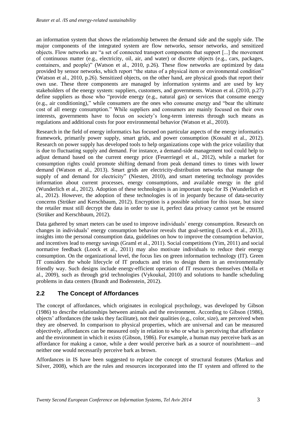an information system that shows the relationship between the demand side and the supply side. The major components of the integrated system are flow networks, sensor networks, and sensitized objects. Flow networks are "a set of connected transport components that support [...] the movement of continuous matter (e.g., electricity, oil, air, and water) or discrete objects (e.g., cars, packages, containers, and people)" (Watson et al., 2010, p.26). These flow networks are optimized by data provided by sensor networks, which report "the status of a physical item or environmental condition" (Watson et al., 2010, p.26). Sensitized objects, on the other hand, are physical goods that report their own use. These three components are managed by information systems and are used by key stakeholders of the energy system: suppliers, customers, and governments. Watson et al. (2010, p.27) define suppliers as those who "provide energy (e.g., natural gas) or services that consume energy (e.g., air conditioning)," while consumers are the ones who consume energy and "bear the ultimate cost of all energy consumption." While suppliers and consumers are mainly focused on their own interests, governments have to focus on society's long-term interests through such means as regulations and additional costs for poor environmental behavior (Watson et al., 2010).

Research in the field of energy informatics has focused on particular aspects of the energy informatics framework, primarily power supply, smart grids, and power consumption (Kossahl et al., 2012). Research on power supply has developed tools to help organizations cope with the price volatility that is due to fluctuating supply and demand. For instance, a demand-side management tool could help to adjust demand based on the current energy price (Feuerriegel et al., 2012), while a market for consumption rights could promote shifting demand from peak demand times to times with lower demand (Watson et al., 2013). Smart grids are electricity-distribution networks that manage the supply of and demand for electricity" (Niesten, 2010), and smart metering technology provides information about current processes, energy consumptions, and available energy in the grid (Wunderlich et al., 2012). Adoption of these technologies is an important topic for IS (Wunderlich et al., 2012). However, the adoption of these technologies is of in jeopardy because of data-security concerns (Strüker and Kerschbaum, 2012). Encryption is a possible solution for this issue, but since the retailer must still decrypt the data in order to use it, perfect data privacy cannot yet be ensured (Strüker and Kerschbaum, 2012).

Data gathered by smart meters can be used to improve individuals' energy consumption. Research on changes in individuals' energy consumption behavior reveals that goal-setting (Loock et al., 2013), insights into the personal consumption data, guidelines on how to improve the consumption behavior, and incentives lead to energy savings (Graml et al., 2011). Social competitions (Yim, 2011) and social normative feedback (Loock et al., 2011) may also motivate individuals to reduce their energy consumption. On the organizational level, the focus lies on green information technology (IT). Green IT considers the whole lifecycle of IT products and tries to design them in an environmentally friendly way. Such designs include energy-efficient operation of IT resources themselves (Molla et al., 2009), such as through grid technologies (Vykoukal, 2010) and solutions to handle scheduling problems in data centers (Brandt and Bodenstein, 2012).

### **2.2 The Concept of Affordances**

The concept of affordances, which originates in ecological psychology, was developed by Gibson (1986) to describe relationships between animals and the environment. According to Gibson (1986), objects' affordances (the tasks they facilitate), not their qualities (e.g., color, size), are perceived when they are observed. In comparison to physical properties, which are universal and can be measured objectively, affordances can be measured only in relation to who or what is perceiving that affordance and the environment in which it exists (Gibson, 1986). For example, a human may perceive bark as an affordance for making a canoe, while a deer would perceive bark as a source of nourishment—and neither one would necessarily perceive bark as brown.

Affordances in IS have been suggested to replace the concept of structural features (Markus and Silver, 2008), which are the rules and resources incorporated into the IT system and offered to the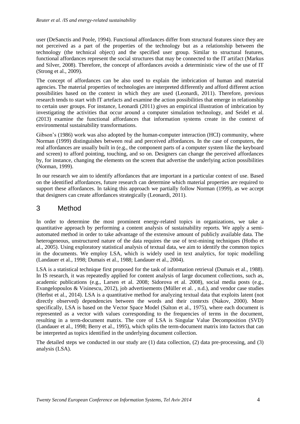user (DeSanctis and Poole, 1994). Functional affordances differ from structural features since they are not perceived as a part of the properties of the technology but as a relationship between the technology (the technical object) and the specified user group. Similar to structural features, functional affordances represent the social structures that may be connected to the IT artifact (Markus and Silver, 2008). Therefore, the concept of affordances avoids a deterministic view of the use of IT (Strong et al., 2009).

The concept of affordances can be also used to explain the imbrication of human and material agencies. The material properties of technologies are interpreted differently and afford different action possibilities based on the context in which they are used (Leonardi, 2011). Therefore, previous research tends to start with IT artefacts and examine the action possibilities that emerge in relationship to certain user groups. For instance, Leonardi (2011) gives an empirical illustration of imbrication by investigating the activities that occur around a computer simulation technology, and Seidel et al. (2013) examine the functional affordances that information systems create in the context of environmental sustainability transformations.

Gibson's (1986) work was also adopted by the human-computer interaction (HCI) community, where Norman (1999) distinguishes between real and perceived affordances. In the case of computers, the real affordances are usually built in (e.g., the component parts of a computer system like the keyboard and screen) to afford pointing, touching, and so on. Designers can change the perceived affordances by, for instance, changing the elements on the screen that advertise the underlying action possibilities (Norman, 1999).

In our research we aim to identify affordances that are important in a particular context of use. Based on the identified affordances, future research can determine which material properties are required to support these affordances. In taking this approach we partially follow Norman (1999), as we accept that designers can create affordances strategically (Leonardi, 2011).

## 3 Method

In order to determine the most prominent energy-related topics in organizations, we take a quantitative approach by performing a content analysis of sustainability reports. We apply a semiautomated method in order to take advantage of the extensive amount of publicly available data. The heterogeneous, unstructured nature of the data requires the use of text-mining techniques (Hotho et al., 2005). Using exploratory statistical analysis of textual data, we aim to identify the common topics in the documents. We employ LSA, which is widely used in text analytics, for topic modelling (Landauer et al., 1998; Dumais et al., 1988; Landauer et al., 2004).

LSA is a statistical technique first proposed for the task of information retrieval (Dumais et al., 1988). In IS research, it was repeatedly applied for content analysis of large document collections, such as, academic publications (e.g., Larsen et al. 2008; Sidorova et al. 2008), social media posts (e.g., Evangelopoulos & Visinescu, 2012), job advertisements (Müller et al. , n.d.), and vendor case studies (Herbst et al., 2014). LSA is a quantitative method for analyzing textual data that exploits latent (not directly observed) dependencies between the words and their contexts (Nakov, 2000). More specifically, LSA is based on the Vector Space Model (Salton et al., 1975), where each document is represented as a vector with values corresponding to the frequencies of terms in the document, resulting in a term-document matrix. The core of LSA is Singular Value Decomposition (SVD) (Landauer et al., 1998; Berry et al., 1995), which splits the term-document matrix into factors that can be interpreted as topics identified in the underlying document collection.

The detailed steps we conducted in our study are (1) data collection, (2) data pre-processing, and (3) analysis (LSA).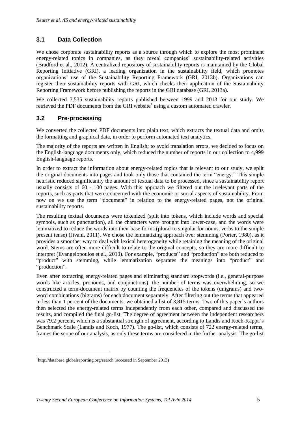## **3.1 Data Collection**

We chose corporate sustainability reports as a source through which to explore the most prominent energy-related topics in companies, as they reveal companies' sustainability-related activities (Bradford et al., 2012). A centralized repository of sustainability reports is maintained by the Global Reporting Initiative (GRI), a leading organization in the sustainability field, which promotes organizations' use of the Sustainability Reporting Framework (GRI, 2013b). Organizations can register their sustainability reports with GRI, which checks their application of the Sustainability Reporting Framework before publishing the reports in the GRI database (GRI, 2013a).

We collected 7,535 sustainability reports published between 1999 and 2013 for our study. We retrieved the PDF documents from the GRI website<sup>1</sup> using a custom automated crawler.

#### **3.2 Pre-processing**

We converted the collected PDF documents into plain text, which extracts the textual data and omits the formatting and graphical data, in order to perform automated text analytics.

The majority of the reports are written in English; to avoid translation errors, we decided to focus on the English-language documents only, which reduced the number of reports in our collection to 4,999 English-language reports.

In order to extract the information about energy-related topics that is relevant to our study, we split the original documents into pages and took only those that contained the term "energy." This simple heuristic reduced significantly the amount of textual data to be processed, since a sustainability report usually consists of 60 - 100 pages. With this approach we filtered out the irrelevant parts of the reports, such as parts that were concerned with the economic or social aspects of sustainability. From now on we use the term "document" in relation to the energy-related pages, not the original sustainability reports.

The resulting textual documents were tokenized (split into tokens, which include words and special symbols, such as punctuation), all the characters were brought into lower-case, and the words were lemmatized to reduce the words into their base forms (plural to singular for nouns, verbs to the simple present tense) (Jivani, 2011). We chose the lemmatizing approach over stemming (Porter, 1980), as it provides a smoother way to deal with lexical heterogeneity while retaining the meaning of the original word. Stems are often more difficult to relate to the original concepts, so they are more difficult to interpret (Evangelopoulos et al., 2010). For example, "products" and "production" are both reduced to "product" with stemming, while lemmatization separates the meanings into "product" and "production".

Even after extracting energy-related pages and eliminating standard stopwords (i.e., general-purpose words like articles, pronouns, and conjunctions), the number of terms was overwhelming, so we constructed a term-document matrix by counting the frequencies of the tokens (unigrams) and twoword combinations (bigrams) for each document separately. After filtering out the terms that appeared in less than 1 percent of the documents, we obtained a list of 3,815 terms. Two of this paper's authors then selected the energy-related terms independently from each other, compared and discussed the results, and compiled the final go-list. The degree of agreement between the independent researchers was 79.2 percent, which is a substantial strength of agreement, according to Landis and Koch-Kappa's Benchmark Scale (Landis and Koch, 1977). The go-list, which consists of 722 energy-related terms, frames the scope of our analysis, as only these terms are considered in the further analysis. The go-list

-

<sup>1</sup> <http://database.globalreporting.org/search> (accessed in September 2013)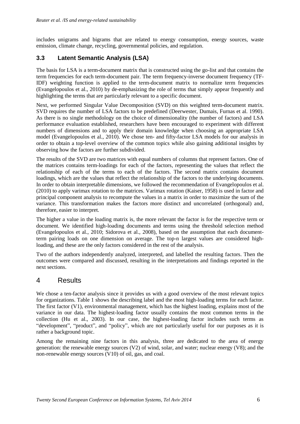includes unigrams and bigrams that are related to energy consumption, energy sources, waste emission, climate change, recycling, governmental policies, and regulation.

## **3.3 Latent Semantic Analysis (LSA)**

The basis for LSA is a term-document matrix that is constructed using the go-list and that contains the term frequencies for each term-document pair. The term frequency-inverse document frequency (TF-IDF) weighting function is applied to the term-document matrix to normalize term frequencies (Evangelopoulos et al., 2010) by de-emphasizing the role of terms that simply appear frequently and highlighting the terms that are particularly relevant to a specific document.

Next, we performed Singular Value Decomposition (SVD) on this weighted term-document matrix. SVD requires the number of LSA factors to be predefined (Deerwester, Dumais, Furnas et al. 1990). As there is no single methodology on the choice of dimensionality (the number of factors) and LSA performance evaluation established, researchers have been encouraged to experiment with different numbers of dimensions and to apply their domain knowledge when choosing an appropriate LSA model (Evangelopoulos et al., 2010). We chose ten- and fifty-factor LSA models for our analysis in order to obtain a top-level overview of the common topics while also gaining additional insights by observing how the factors are further subdivided.

The results of the SVD are two matrices with equal numbers of columns that represent factors. One of the matrices contains term-loadings for each of the factors, representing the values that reflect the relationship of each of the terms to each of the factors. The second matrix contains document loadings, which are the values that reflect the relationship of the factors to the underlying documents. In order to obtain interpretable dimensions, we followed the recommendation of Evangelopoulos et al. (2010) to apply varimax rotation to the matrices. Varimax rotation (Kaiser, 1958) is used in factor and principal component analysis to recompute the values in a matrix in order to maximize the sum of the variance. This transformation makes the factors more distinct and uncorrelated (orthogonal) and, therefore, easier to interpret.

The higher a value in the loading matrix is, the more relevant the factor is for the respective term or document. We identified high-loading documents and terms using the threshold selection method (Evangelopoulos et al., 2010; Sidorova et al., 2008), based on the assumption that each documentterm pairing loads on one dimension on average. The top-n largest values are considered highloading, and these are the only factors considered in the rest of the analysis.

Two of the authors independently analyzed, interpreted, and labelled the resulting factors. Then the outcomes were compared and discussed, resulting in the interpretations and findings reported in the next sections.

## 4 Results

We chose a ten-factor analysis since it provides us with a good overview of the most relevant topics for organizations. Table 1 shows the describing label and the most high-loading terms for each factor. The first factor (V1), environmental management, which has the highest loading, explains most of the variance in our data. The highest-loading factor usually contains the most common terms in the collection (Hu et al., 2003). In our case, the highest-loading factor includes such terms as "development", "product", and "policy", which are not particularly useful for our purposes as it is rather a background topic.

Among the remaining nine factors in this analysis, three are dedicated to the area of energy generation: the renewable energy sources (V2) of wind, solar, and water; nuclear energy (V8); and the non-renewable energy sources (V10) of oil, gas, and coal.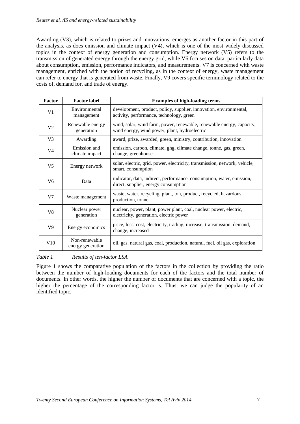Awarding (V3), which is related to prizes and innovations, emerges as another factor in this part of the analysis, as does emission and climate impact (V4), which is one of the most widely discussed topics in the context of energy generation and consumption. Energy network (V5) refers to the transmission of generated energy through the energy grid, while V6 focuses on data, particularly data about consumption, emission, performance indicators, and measurements. V7 is concerned with waste management, enriched with the notion of recycling, as in the context of energy, waste management can refer to energy that is generated from waste. Finally, V9 covers specific terminology related to the costs of, demand for, and trade of energy.

| Factor         | <b>Factor label</b>                | <b>Examples of high-loading terms</b>                                                                                  |  |
|----------------|------------------------------------|------------------------------------------------------------------------------------------------------------------------|--|
| V <sub>1</sub> | Environmental<br>management        | development, product, policy, supplier, innovation, environmental,<br>activity, performance, technology, green         |  |
| V <sub>2</sub> | Renewable energy<br>generation     | wind, solar, wind farm, power, renewable, renewable energy, capacity,<br>wind energy, wind power, plant, hydroelectric |  |
| V <sub>3</sub> | Awarding                           | award, prize, awarded, green, ministry, contribution, innovation                                                       |  |
| V4             | Emission and<br>climate impact     | emission, carbon, climate, ghg, climate change, tonne, gas, green,<br>change, greenhouse                               |  |
| V <sub>5</sub> | Energy network                     | solar, electric, grid, power, electricity, transmission, network, vehicle,<br>smart, consumption                       |  |
| V <sub>6</sub> | Data                               | indicator, data, indirect, performance, consumption, water, emission,<br>direct, supplier, energy consumption          |  |
| V <sub>7</sub> | Waste management                   | waste, water, recycling, plant, ton, product, recycled, hazardous,<br>production, tonne                                |  |
| V8             | Nuclear power<br>generation        | nuclear, power, plant, power plant, coal, nuclear power, electric,<br>electricity, generation, electric power          |  |
| V <sub>9</sub> | Energy economics                   | price, loss, cost, electricity, trading, increase, transmission, demand,<br>change, increased                          |  |
| V10            | Non-renewable<br>energy generation | oil, gas, natural gas, coal, production, natural, fuel, oil gas, exploration                                           |  |

#### *Table 1 Results of ten-factor LSA*

Figure 1 shows the comparative population of the factors in the collection by providing the ratio between the number of high-loading documents for each of the factors and the total number of documents. In other words, the higher the number of documents that are concerned with a topic, the higher the percentage of the corresponding factor is. Thus, we can judge the popularity of an identified topic.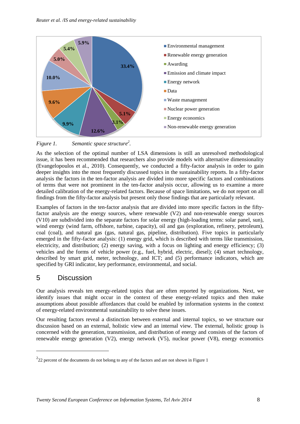

*Figure 1. Semantic space structure<sup>2</sup> .*

As the selection of the optimal number of LSA dimensions is still an unresolved methodological issue, it has been recommended that researchers also provide models with alternative dimensionality (Evangelopoulos et al., 2010). Consequently, we conducted a fifty-factor analysis in order to gain deeper insights into the most frequently discussed topics in the sustainability reports. In a fifty-factor analysis the factors in the ten-factor analysis are divided into more specific factors and combinations of terms that were not prominent in the ten-factor analysis occur, allowing us to examine a more detailed calibration of the energy-related factors. Because of space limitations, we do not report on all findings from the fifty-factor analysis but present only those findings that are particularly relevant.

Examples of factors in the ten-factor analysis that are divided into more specific factors in the fiftyfactor analysis are the energy sources, where renewable (V2) and non-renewable energy sources (V10) are subdivided into the separate factors for solar energy (high-loading terms: solar panel, sun), wind energy (wind farm, offshore, turbine, capacity), oil and gas (exploration, refinery, petroleum), coal (coal), and natural gas (gas, natural gas, pipeline, distribution). Five topics in particularly emerged in the fifty-factor analysis: (1) energy grid, which is described with terms like transmission, electricity, and distribution; (2) energy saving, with a focus on lighting and energy efficiency; (3) vehicles and the forms of vehicle power (e.g., fuel, hybrid, electric, diesel); (4) smart technology, described by smart grid, meter, technology, and ICT; and (5) performance indicators, which are specified by GRI indicator, key performance, environmental, and social.

## 5 Discussion

-

Our analysis reveals ten energy-related topics that are often reported by organizations. Next, we identify issues that might occur in the context of these energy-related topics and then make assumptions about possible affordances that could be enabled by information systems in the context of energy-related environmental sustainability to solve these issues.

Our resulting factors reveal a distinction between external and internal topics, so we structure our discussion based on an external, holistic view and an internal view. The external, holistic group is concerned with the generation, transmission, and distribution of energy and consists of the factors of renewable energy generation (V2), energy network (V5), nuclear power (V8), energy economics

 $222$  percent of the documents do not belong to any of the factors and are not shown in Figure 1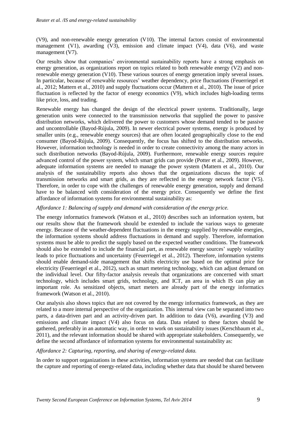(V9), and non-renewable energy generation (V10). The internal factors consist of environmental management (V1), awarding (V3), emission and climate impact (V4), data (V6), and waste management (V7).

Our results show that companies' environmental sustainability reports have a strong emphasis on energy generation, as organizations report on topics related to both renewable energy (V2) and nonrenewable energy generation (V10). These various sources of energy generation imply several issues. In particular, because of renewable resources' weather dependency, price fluctuations (Feuerriegel et al., 2012; Mattern et al., 2010) and supply fluctuations occur (Mattern et al., 2010). The issue of price fluctuation is reflected by the factor of energy economics (V9), which includes high-loading terms like price, loss, and trading.

Renewable energy has changed the design of the electrical power systems. Traditionally, large generation units were connected to the transmission networks that supplied the power to passive distribution networks, which delivered the power to customers whose demand tended to be passive and uncontrollable (Bayod-Rújula, 2009). In newer electrical power systems, energy is produced by smaller units (e.g., renewable energy sources) that are often located geographically close to the end consumer (Bayod-Rújula, 2009). Consequently, the focus has shifted to the distribution networks. However, information technology is needed in order to create connectivity among the many actors in such distribution networks (Bayod-Rújula, 2009). Furthermore, renewable energy sources require advanced control of the power system, which smart grids can provide (Potter et al., 2009). However, adequate information systems are needed to manage the power system (Mattern et al., 2010). Our analysis of the sustainability reports also shows that the organizations discuss the topic of transmission networks and smart grids, as they are reflected in the energy network factor (V5). Therefore, in order to cope with the challenges of renewable energy generation, supply and demand have to be balanced with consideration of the energy price. Consequently we define the first affordance of information systems for environmental sustainability as:

*Affordance 1: Balancing of supply and demand with consideration of the energy price.*

The energy informatics framework (Watson et al., 2010) describes such an information system, but our results show that the framework should be extended to include the various ways to generate energy. Because of the weather-dependent fluctuations in the energy supplied by renewable energies, the information systems should address fluctuations in demand and supply. Therefore, information systems must be able to predict the supply based on the expected weather conditions. The framework should also be extended to include the financial part, as renewable energy sources' supply volatility leads to price fluctuations and uncertainty (Feuerriegel et al., 2012). Therefore, information systems should enable demand-side management that shifts electricity use based on the optimal price for electricity (Feuerriegel et al., 2012), such as smart metering technology, which can adjust demand on the individual level. Our fifty-factor analysis reveals that organizations are concerned with smart technology, which includes smart grids, technology, and ICT, an area in which IS can play an important role. As sensitized objects, smart meters are already part of the energy informatics framework (Watson et al., 2010).

Our analysis also shows topics that are not covered by the energy informatics framework, as they are related to a more internal perspective of the organization. This internal view can be separated into two parts, a data-driven part and an activity-driven part. In addition to data (V6), awarding (V3) and emissions and climate impact (V4) also focus on data. Data related to these factors should be gathered, preferably in an automatic way, in order to work on sustainability issues (Kerschbaum et al., 2011), and the relevant information should be shared with appropriate stakeholders. Consequently, we define the second affordance of information systems for environmental sustainability as:

#### *Affordance 2: Capturing, reporting, and sharing of energy-related data.*

In order to support organizations in these activities, information systems are needed that can facilitate the capture and reporting of energy-related data, including whether data that should be shared between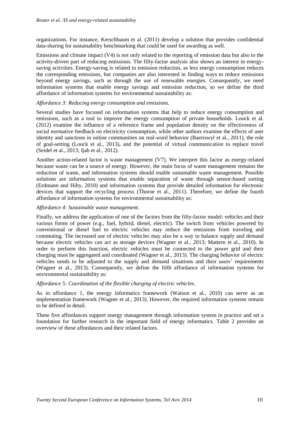organizations. For instance, Kerschbaum et al. (2011) develop a solution that provides confidential data-sharing for sustainability benchmarking that could be used for awarding as well.

Emissions and climate impact (V4) is not only related to the reporting of emission data but also to the activity-driven part of reducing emissions. The fifty-factor analysis also shows an interest in energysaving activities. Energy-saving is related to emission reduction, as less energy consumption reduces the corresponding emissions, but companies are also interested in finding ways to reduce emissions beyond energy savings, such as through the use of renewable energies. Consequently, we need information systems that enable energy savings and emission reduction, so we define the third affordance of information systems for environmental sustainability as:

#### *Affordance 3: Reducing energy consumption and emissions.*

Several studies have focused on information systems that help to reduce energy consumption and emissions, such as a tool to improve the energy consumption of private households. Loock et al. (2012) examine the influence of a reference frame and population density on the effectiveness of social normative feedback on electricity consumption, while other authors examine the effects of user identity and sanctions in online communities on real-word behavior (Baeriswyl et al., 2011), the role of goal-setting (Loock et al., 2013), and the potential of virtual communication to replace travel (Seidel et al., 2013; Ijab et al., 2012).

Another action-related factor is waste management (V7). We interpret this factor as energy-related because waste can be a source of energy. However, the main focus of waste management remains the reduction of waste, and information systems should enable sustainable waste management. Possible solutions are information systems that enable separation of waste through sensor-based sorting (Erdmann and Hilty, 2010) and information systems that provide detailed information for electronic devices that support the recycling process (Thoroe et al., 2011). Therefore, we define the fourth affordance of information systems for environmental sustainability as:

#### *Affordance 4: Sustainable waste management*.

Finally, we address the application of one of the factors from the fifty-factor model: vehicles and their various forms of power (e.g., fuel, hybrid, diesel, electric). The switch from vehicles powered by conventional or diesel fuel to electric vehicles may reduce the emissions from traveling and commuting. The increased use of electric vehicles may also be a way to balance supply and demand because electric vehicles can act as storage devices (Wagner et al., 2013; Mattern et al., 2010). In order to perform this function, electric vehicles must be connected to the power grid and their charging must be aggregated and coordinated (Wagner et al., 2013). The charging behavior of electric vehicles needs to be adjusted to the supply and demand situations and their users' requirements (Wagner et al., 2013). Consequently, we define the fifth affordance of information systems for environmental sustainability as:

#### *Affordance 5: Coordination of the flexible charging of electric vehicles.*

As in affordance 1, the energy informatics framework (Watson et al., 2010) can serve as an implementation framework (Wagner et al., 2013). However, the required information systems remain to be defined in detail.

These five affordances support energy management through information system in practice and set a foundation for further research in the important field of energy informatics. Table 2 provides an overview of these affordances and their related factors.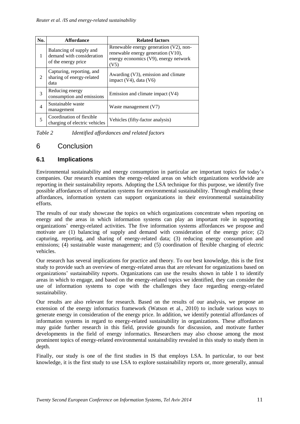| No.                         | <b>Affordance</b>                                                           | <b>Related factors</b>                                                                                                           |
|-----------------------------|-----------------------------------------------------------------------------|----------------------------------------------------------------------------------------------------------------------------------|
|                             | Balancing of supply and<br>demand with consideration<br>of the energy price | Renewable energy generation $(V2)$ , non-<br>renewable energy generation (V10),<br>energy economics (V9), energy network<br>(V5) |
| $\mathcal{D}_{\mathcal{L}}$ | Capturing, reporting, and<br>sharing of energy-related<br>data              | Awarding (V3), emission and climate<br>impact $(V4)$ , data $(V6)$                                                               |
| $\mathcal{E}$               | Reducing energy<br>consumption and emissions                                | Emission and climate impact (V4)                                                                                                 |
| $\overline{4}$              | Sustainable waste<br>management                                             | Waste management (V7)                                                                                                            |
| 5                           | Coordination of flexible<br>charging of electric vehicles                   | Vehicles (fifty-factor analysis)                                                                                                 |

*Table 2 Identified affordances and related factors*

## 6 Conclusion

#### **6.1 Implications**

Environmental sustainability and energy consumption in particular are important topics for today's companies. Our research examines the energy-related areas on which organizations worldwide are reporting in their sustainability reports. Adopting the LSA technique for this purpose, we identify five possible affordances of information systems for environmental sustainability. Through enabling these affordances, information system can support organizations in their environmental sustainability efforts.

The results of our study showcase the topics on which organizations concentrate when reporting on energy and the areas in which information systems can play an important role in supporting organizations' energy-related activities. The five information systems affordances we propose and motivate are (1) balancing of supply and demand with consideration of the energy price; (2) capturing, reporting, and sharing of energy-related data; (3) reducing energy consumption and emissions; (4) sustainable waste management; and (5) coordination of flexible charging of electric vehicles.

Our research has several implications for practice and theory. To our best knowledge, this is the first study to provide such an overview of energy-related areas that are relevant for organizations based on organizations' sustainability reports. Organizations can use the results shown in table 1 to identify areas in which to engage, and based on the energy-related topics we identified, they can consider the use of information systems to cope with the challenges they face regarding energy-related sustainability.

Our results are also relevant for research. Based on the results of our analysis, we propose an extension of the energy informatics framework (Watson et al., 2010) to include various ways to generate energy in consideration of the energy price. In addition, we identify potential affordances of information systems in regard to energy-related sustainability in organizations. These affordances may guide further research in this field, provide grounds for discussion, and motivate further developments in the field of energy informatics. Researchers may also choose among the most prominent topics of energy-related environmental sustainability revealed in this study to study them in depth.

Finally, our study is one of the first studies in IS that employs LSA. In particular, to our best knowledge, it is the first study to use LSA to explore sustainability reports or, more generally, annual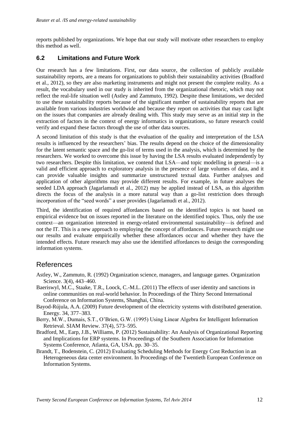reports published by organizations. We hope that our study will motivate other researchers to employ this method as well.

#### **6.2 Limitations and Future Work**

Our research has a few limitations. First, our data source, the collection of publicly available sustainability reports, are a means for organizations to publish their sustainability activities (Bradford et al., 2012), so they are also marketing instruments and might not present the complete reality. As a result, the vocabulary used in our study is inherited from the organizational rhetoric, which may not reflect the real-life situation well (Astley and Zammuto, 1992). Despite these limitations, we decided to use these sustainability reports because of the significant number of sustainability reports that are available from various industries worldwide and because they report on activities that may cast light on the issues that companies are already dealing with. This study may serve as an initial step in the extraction of factors in the context of energy informatics in organizations, so future research could verify and expand these factors through the use of other data sources.

A second limitation of this study is that the evaluation of the quality and interpretation of the LSA results is influenced by the researchers' bias. The results depend on the choice of the dimensionality for the latent semantic space and the go-list of terms used in the analysis, which is determined by the researchers. We worked to overcome this issue by having the LSA results evaluated independently by two researchers. Despite this limitation, we contend that LSA—and topic modelling in general—is a valid and efficient approach to exploratory analysis in the presence of large volumes of data, and it can provide valuable insights and summarize unstructured textual data. Further analyses and application of other algorithms may provide different results. For example, in future analyses the seeded LDA approach (Jagarlamudi et al., 2012) may be applied instead of LSA, as this algorithm directs the focus of the analysis in a more natural way than a go-list restriction does through incorporation of the "seed words" a user provides (Jagarlamudi et al., 2012).

Third, the identification of required affordances based on the identified topics is not based on empirical evidence but on issues reported in the literature on the identified topics. Thus, only the use context—an organization interested in energy-related environmental sustainability—is defined and not the IT. This is a new approach to employing the concept of affordances. Future research might use our results and evaluate empirically whether these affordances occur and whether they have the intended effects. Future research may also use the identified affordances to design the corresponding information systems.

### References

- Astley, W., Zammuto, R. (1992) Organization science, managers, and language games. Organization Science. 3(4), 443–460.
- Baeriswyl, M.C., Staake, T.R., Loock, C.-M.L. (2011) The effects of user identity and sanctions in online communities on real-world behavior. In Proceedings of the Thirty Second International Conference on Information Systems, Shanghai, China.
- Bayod-Rújula, A.A. (2009) Future development of the electricity systems with distributed generation. Energy. 34, 377–383.
- Berry, M.W., Dumais, S.T., O'Brien, G.W. (1995) Using Linear Algebra for Intelligent Information Retrieval. SIAM Review. 37(4), 573–595.
- Bradford, M., Earp, J.B., Williams, P. (2012) Sustainability: An Analysis of Organizational Reporting and Implications for ERP systems. In Proceedings of the Southern Association for Information Systems Conference, Atlanta, GA, USA. pp. 30–35.
- Brandt, T., Bodenstein, C. (2012) Evaluating Scheduling Methods for Energy Cost Reduction in an Heterogeneous data center environment. In Proceedings of the Twentieth European Conference on Information Systems.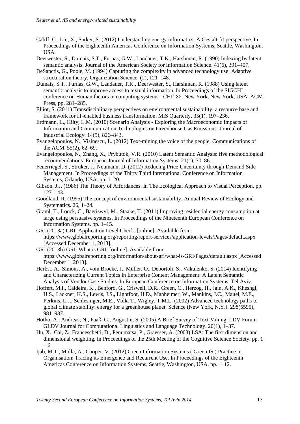- Califf, C., Lin, X., Sarker, S. (2012) Understanding energy informatics: A Gestalt-fit perspective. In Proceedings of the Eighteenth Americas Conference on Information Systems, Seattle, Washington, USA.
- Deerwester, S., Dumais, S.T., Furnas, G.W., Landauer, T.K., Harshman, R. (1990) Indexing by latent semantic analysis. Journal of the American Society for Information Science. 41(6), 391–407.
- DeSanctis, G., Poole, M. (1994) Capturing the complexity in advanced technology use: Adaptive structuration theory. Organization Science. (2), 121–148.
- Dumais, S.T., Furnas, G.W., Landauer, T.K., Deerwester, S., Harshman, R. (1988) Using latent semantic analysis to improve access to textual information. In Proceedings of the SIGCHI conference on Human factors in computing systems - CHI' 88. New York, New York, USA: ACM Press, pp. 281–285.
- Elliot, S. (2011) Transdisciplinary perspectives on environmental sustainability: a resource base and framework for IT-enabled business transformation. MIS Quarterly. 35(1), 197–236.
- Erdmann, L., Hilty, L.M. (2010) Scenario Analysis Exploring the Macroeconomic Impacts of Information and Communication Technologies on Greenhouse Gas Emissions. Journal of Industrial Ecology. 14(5), 826–843.
- Evangelopoulos, N., Visinescu, L. (2012) Text-mining the voice of the people. Communications of the ACM. 55(2), 62–69.
- Evangelopoulos, N., Zhang, X., Prybutok, V.R. (2010) Latent Semantic Analysis: five methodological recommendations. European Journal of Information Systems. 21(1), 70–86.
- Feuerriegel, S., Strüker, J., Neumann, D. (2012) Reducing Price Uncertainty through Demand Side Management. In Proceedings of the Thirty Third International Conference on Information Systems, Orlando, USA. pp. 1–20.
- Gibson, J.J. (1986) The Theory of Affordances. In The Ecological Approach to Visual Perception. pp. 127–143.
- Goodland, R. (1995) The concept of environmental sustainability. Annual Review of Ecology and Systematics. 26, 1–24.
- Graml, T., Loock, C., Baeriswyl, M., Staake, T. (2011) Improving residential energy consumption at large using persuasive systems. In Proceedings of the Nineteenth European Conference on Information Systems. pp. 1–15.
- GRI (2013a) GRI: Application Level Check. [online]. Available from: https://www.globalreporting.org/reporting/report-services/application-levels/Pages/default.aspx [Accessed December 1, 2013].
- GRI (2013b) GRI: What is GRI. [online]. Available from: https://www.globalreporting.org/information/about-gri/what-is-GRI/Pages/default.aspx [Accessed December 1, 2013].
- Herbst, A., Simons, A., vom Brocke, J., Müller, O., Debortoli, S., Vakulenko, S. (2014) Identifying and Characterizing Current Topics in Enterprise Content Management: A Latent Semantic Analysis of Vendor Case Studies. In European Conference on Information Systems. Tel Aviv.
- Hoffert, M.I., Caldeira, K., Benford, G., Criswell, D.R., Green, C., Herzog, H., Jain, A.K., Kheshgi, H.S., Lackner, K.S., Lewis, J.S., Lightfoot, H.D., Manheimer, W., Mankins, J.C., Mauel, M.E., Perkins, L.J., Schlesinger, M.E., Volk, T., Wigley, T.M.L. (2002) Advanced technology paths to global climate stability: energy for a greenhouse planet. Science (New York, N.Y.). 298(5595), 981–987.
- Hotho, A., Andreas, N., Paaß, G., Augustin, S. (2005) A Brief Survey of Text Mining. LDV Forum GLDV Journal for Computational Linguistics and Language Technology. 20(1), 1–37.
- Hu, X., Cai, Z., Franceschetti, D., Penumatsa, P., Graesser, A. (2003) LSA: The first dimension and dimensional weighting. In Proceedings of the 25th Meeting of the Cognitive Science Society. pp. 1 – 6.
- Ijab, M.T., Molla, A., Cooper, V. (2012) Green Information Systems ( Green IS ) Practice in Organisation: Tracing its Emergence and Recurrent Use. In Proceedings of the Eighteenth Americas Conference on Information Systems, Seattle, Washington, USA. pp. 1–12.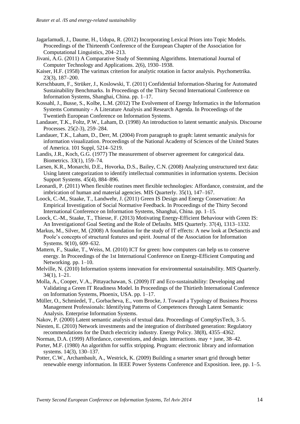- Jagarlamudi, J., Daume, H., Udupa, R. (2012) Incorporating Lexical Priors into Topic Models. Proceedings of the Thirteenth Conference of the European Chapter of the Association for Computational Linguistics, 204–213.
- Jivani, A.G. (2011) A Comparative Study of Stemming Algorithms. International Journal of Computer Technology and Applications. 2(6), 1930–1938.
- Kaiser, H.F. (1958) The varimax criterion for analytic rotation in factor analysis. Psychometrika. 23(3), 187–200.
- Kerschbaum, F., Strüker, J., Koslowski, T. (2011) Confidential Information-Sharing for Automated Sustainability Benchmarks. In Proceedings of the Thirty Second International Conference on Information Systems, Shanghai, China. pp. 1–17.
- Kossahl, J., Busse, S., Kolbe, L.M. (2012) The Evolvement of Energy Informatics in the Information Systems Community - A Literature Analysis and Research Agenda. In Proceedings of the Twentieth European Conference on Information Systems.
- Landauer, T.K., Foltz, P.W., Laham, D. (1998) An introduction to latent semantic analysis. Discourse Processes. 25(2-3), 259–284.
- Landauer, T.K., Laham, D., Derr, M. (2004) From paragraph to graph: latent semantic analysis for information visualization. Proceedings of the National Academy of Sciences of the United States of America. 101 Suppl, 5214–5219.
- Landis, J.R., Koch, G.G. (1977) The measurement of observer agreement for categorical data. Biometrics. 33(1), 159–74.
- Larsen, K.R., Monarchi, D.E., Hovorka, D.S., Bailey, C.N. (2008) Analyzing unstructured text data: Using latent categorization to identify intellectual communities in information systems. Decision Support Systems. 45(4), 884–896.
- Leonardi, P. (2011) When flexible routines meet flexible technologies: Affordance, constraint, and the imbrication of human and material agencies. MIS Quarterly. 35(1), 147–167.
- Loock, C.-M., Staake, T., Landwehr, J. (2011) Green IS Design and Energy Conservation: An Empirical Investigation of Social Normative Feedback. In Proceedings of the Thirty Second International Conference on Information Systems, Shanghai, China. pp. 1–15.
- Loock, C.-M., Staake, T., Thiesse, F. (2013) Motivating Energy-Efficient Behaviour with Green IS: An Investigationof Goal Seeting and the Role of Defaults. MIS Quarterly. 37(4), 1313–1332.
- Markus, M., Silver, M. (2008) A foundation for the study of IT effects: A new look at DeSanctis and Poole's concepts of structural features and spirit. Journal of the Association for Information Systems. 9(10), 609–632.
- Mattern, F., Staake, T., Weiss, M. (2010) ICT for green: how computers can help us to conserve energy. In Proceedings of the 1st International Conference on Energy-Efficient Computing and Networking. pp. 1–10.
- Melville, N. (2010) Information systems innovation for environmental sustainability. MIS Quarterly. 34(1), 1–21.
- Molla, A., Cooper, V.A., Pittayachawan, S. (2009) IT and Eco-sustainability: Developing and Validating a Green IT Readiness Model. In Proceedings of the Thirtieth International Conference on Information Systems, Phoenix, USA. pp. 1–17.
- Müller, O., Schmiedel, T., Gorbacheva, E., vom Brocke, J. Toward a Typology of Business Process Management Professionals: Identifying Patterns of Competences through Latent Semantic Analysis. Enterprise Information Systems.
- Nakov, P. (2000) Latent semantic analysis of textual data. Proceedings of CompSysTech, 3–5.
- Niesten, E. (2010) Network investments and the integration of distributed generation: Regulatory recommendations for the Dutch electricity industry. Energy Policy. 38(8), 4355–4362.
- Norman, D.A. (1999) Affordance, conventions, and design. interactions. may + june, 38–42.
- Porter, M.F. (1980) An algorithm for suffix stripping. Program: electronic library and information systems. 14(3), 130–137.
- Potter, C.W., Archambault, A., Westrick, K. (2009) Building a smarter smart grid through better renewable energy information. In IEEE Power Systems Conference and Exposition. Ieee, pp. 1–5.